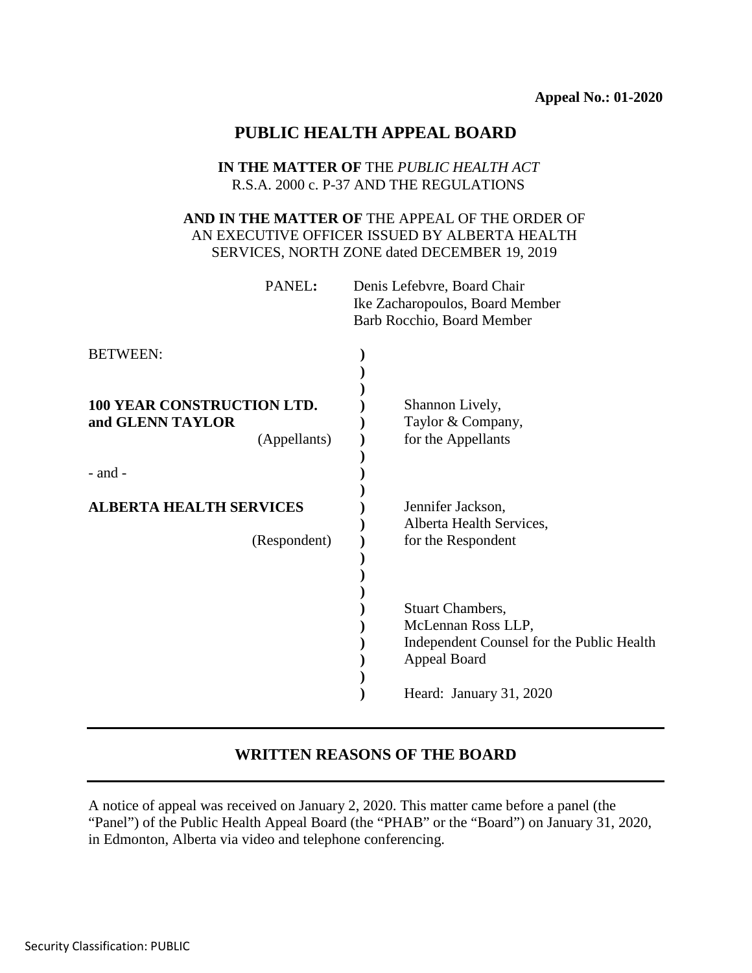# **PUBLIC HEALTH APPEAL BOARD**

## **IN THE MATTER OF** THE *PUBLIC HEALTH ACT* R.S.A. 2000 c. P-37 AND THE REGULATIONS

## **AND IN THE MATTER OF** THE APPEAL OF THE ORDER OF AN EXECUTIVE OFFICER ISSUED BY ALBERTA HEALTH SERVICES, NORTH ZONE dated DECEMBER 19, 2019

| PANEL:                                                                        | Denis Lefebvre, Board Chair<br>Ike Zacharopoulos, Board Member<br>Barb Rocchio, Board Member                                          |
|-------------------------------------------------------------------------------|---------------------------------------------------------------------------------------------------------------------------------------|
| <b>BETWEEN:</b>                                                               |                                                                                                                                       |
| 100 YEAR CONSTRUCTION LTD.<br>and GLENN TAYLOR<br>(Appellants)<br>$-$ and $-$ | Shannon Lively,<br>Taylor & Company,<br>for the Appellants                                                                            |
| <b>ALBERTA HEALTH SERVICES</b><br>(Respondent)                                | Jennifer Jackson,<br>Alberta Health Services,<br>for the Respondent                                                                   |
|                                                                               | <b>Stuart Chambers,</b><br>McLennan Ross LLP,<br>Independent Counsel for the Public Health<br>Appeal Board<br>Heard: January 31, 2020 |

# **WRITTEN REASONS OF THE BOARD**

A notice of appeal was received on January 2, 2020. This matter came before a panel (the "Panel") of the Public Health Appeal Board (the "PHAB" or the "Board") on January 31, 2020, in Edmonton, Alberta via video and telephone conferencing.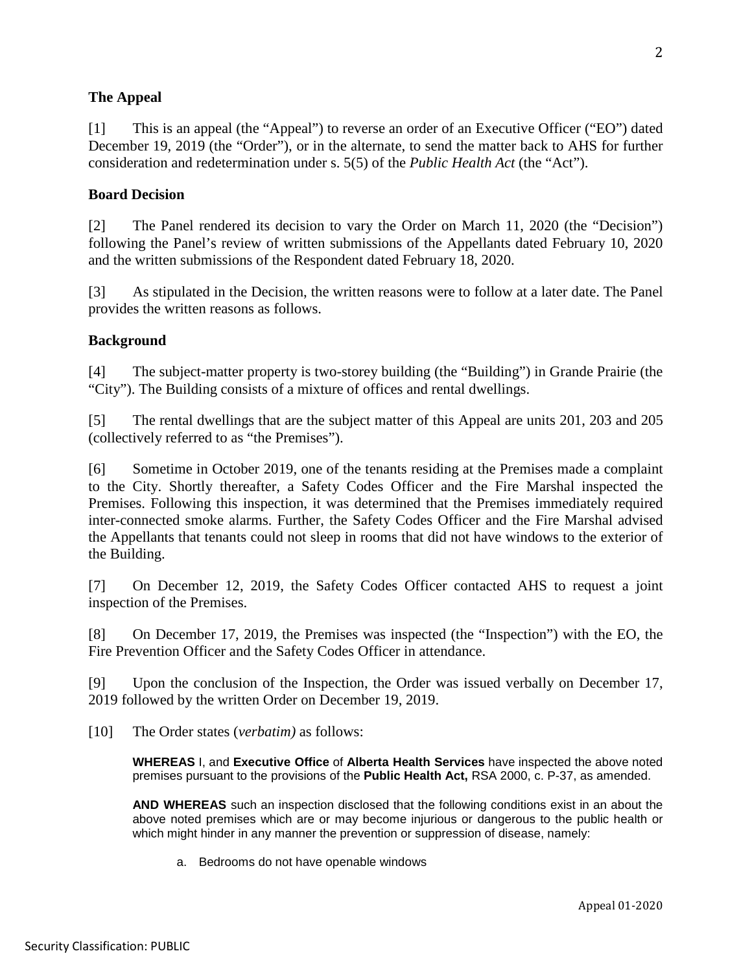## **The Appeal**

[1] This is an appeal (the "Appeal") to reverse an order of an Executive Officer ("EO") dated December 19, 2019 (the "Order"), or in the alternate, to send the matter back to AHS for further consideration and redetermination under s. 5(5) of the *Public Health Act* (the "Act").

## **Board Decision**

[2] The Panel rendered its decision to vary the Order on March 11, 2020 (the "Decision") following the Panel's review of written submissions of the Appellants dated February 10, 2020 and the written submissions of the Respondent dated February 18, 2020.

[3] As stipulated in the Decision, the written reasons were to follow at a later date. The Panel provides the written reasons as follows.

## **Background**

[4] The subject-matter property is two-storey building (the "Building") in Grande Prairie (the "City"). The Building consists of a mixture of offices and rental dwellings.

[5] The rental dwellings that are the subject matter of this Appeal are units 201, 203 and 205 (collectively referred to as "the Premises").

[6] Sometime in October 2019, one of the tenants residing at the Premises made a complaint to the City. Shortly thereafter, a Safety Codes Officer and the Fire Marshal inspected the Premises. Following this inspection, it was determined that the Premises immediately required inter-connected smoke alarms. Further, the Safety Codes Officer and the Fire Marshal advised the Appellants that tenants could not sleep in rooms that did not have windows to the exterior of the Building.

[7] On December 12, 2019, the Safety Codes Officer contacted AHS to request a joint inspection of the Premises.

[8] On December 17, 2019, the Premises was inspected (the "Inspection") with the EO, the Fire Prevention Officer and the Safety Codes Officer in attendance.

[9] Upon the conclusion of the Inspection, the Order was issued verbally on December 17, 2019 followed by the written Order on December 19, 2019.

[10] The Order states (*verbatim)* as follows:

**WHEREAS** I, and **Executive Office** of **Alberta Health Services** have inspected the above noted premises pursuant to the provisions of the **Public Health Act,** RSA 2000, c. P-37, as amended.

**AND WHEREAS** such an inspection disclosed that the following conditions exist in an about the above noted premises which are or may become injurious or dangerous to the public health or which might hinder in any manner the prevention or suppression of disease, namely:

a. Bedrooms do not have openable windows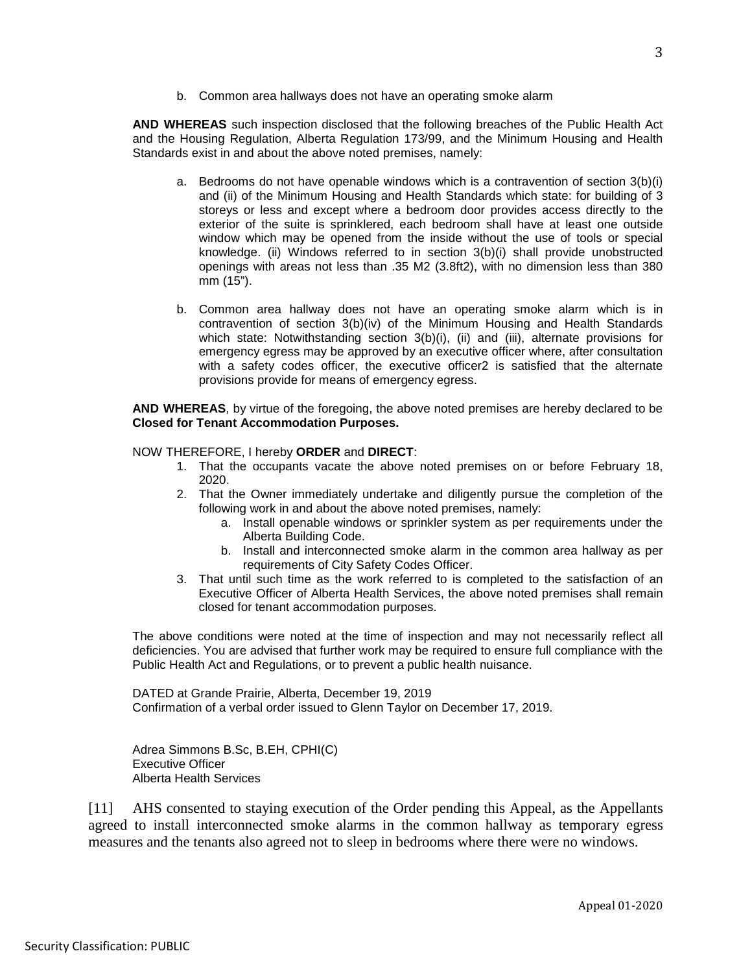b. Common area hallways does not have an operating smoke alarm

**AND WHEREAS** such inspection disclosed that the following breaches of the Public Health Act and the Housing Regulation, Alberta Regulation 173/99, and the Minimum Housing and Health Standards exist in and about the above noted premises, namely:

- a. Bedrooms do not have openable windows which is a contravention of section 3(b)(i) and (ii) of the Minimum Housing and Health Standards which state: for building of 3 storeys or less and except where a bedroom door provides access directly to the exterior of the suite is sprinklered, each bedroom shall have at least one outside window which may be opened from the inside without the use of tools or special knowledge. (ii) Windows referred to in section 3(b)(i) shall provide unobstructed openings with areas not less than .35 M2 (3.8ft2), with no dimension less than 380 mm (15").
- b. Common area hallway does not have an operating smoke alarm which is in contravention of section 3(b)(iv) of the Minimum Housing and Health Standards which state: Notwithstanding section 3(b)(i), (ii) and (iii), alternate provisions for emergency egress may be approved by an executive officer where, after consultation with a safety codes officer, the executive officer2 is satisfied that the alternate provisions provide for means of emergency egress.

**AND WHEREAS**, by virtue of the foregoing, the above noted premises are hereby declared to be **Closed for Tenant Accommodation Purposes.** 

#### NOW THEREFORE, I hereby **ORDER** and **DIRECT**:

- 1. That the occupants vacate the above noted premises on or before February 18, 2020.
- 2. That the Owner immediately undertake and diligently pursue the completion of the following work in and about the above noted premises, namely:
	- a. Install openable windows or sprinkler system as per requirements under the Alberta Building Code.
	- b. Install and interconnected smoke alarm in the common area hallway as per requirements of City Safety Codes Officer.
- 3. That until such time as the work referred to is completed to the satisfaction of an Executive Officer of Alberta Health Services, the above noted premises shall remain closed for tenant accommodation purposes.

The above conditions were noted at the time of inspection and may not necessarily reflect all deficiencies. You are advised that further work may be required to ensure full compliance with the Public Health Act and Regulations, or to prevent a public health nuisance.

DATED at Grande Prairie, Alberta, December 19, 2019 Confirmation of a verbal order issued to Glenn Taylor on December 17, 2019.

Adrea Simmons B.Sc, B.EH, CPHI(C) Executive Officer Alberta Health Services

[11] AHS consented to staying execution of the Order pending this Appeal, as the Appellants agreed to install interconnected smoke alarms in the common hallway as temporary egress measures and the tenants also agreed not to sleep in bedrooms where there were no windows.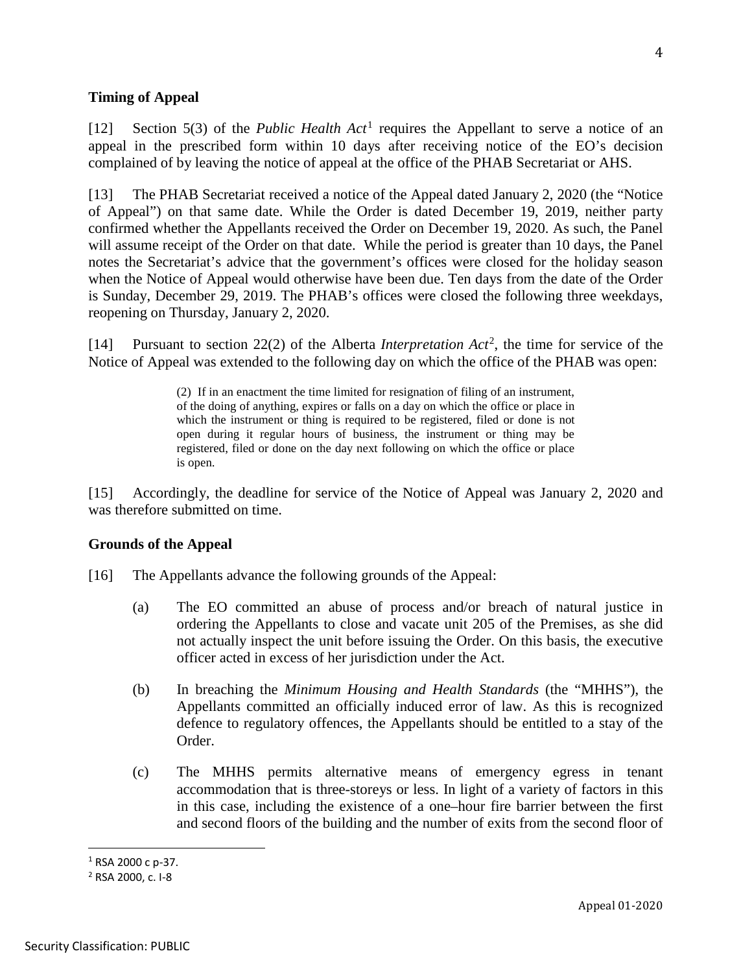### **Timing of Appeal**

[12] Section 5(3) of the *Public Health Act*[1](#page-3-0) requires the Appellant to serve a notice of an appeal in the prescribed form within 10 days after receiving notice of the EO's decision complained of by leaving the notice of appeal at the office of the PHAB Secretariat or AHS.

[13] The PHAB Secretariat received a notice of the Appeal dated January 2, 2020 (the "Notice of Appeal") on that same date. While the Order is dated December 19, 2019, neither party confirmed whether the Appellants received the Order on December 19, 2020. As such, the Panel will assume receipt of the Order on that date. While the period is greater than 10 days, the Panel notes the Secretariat's advice that the government's offices were closed for the holiday season when the Notice of Appeal would otherwise have been due. Ten days from the date of the Order is Sunday, December 29, 2019. The PHAB's offices were closed the following three weekdays, reopening on Thursday, January 2, 2020.

[14] Pursuant to section 22(2) of the Alberta *Interpretation Act*[2](#page-3-1) , the time for service of the Notice of Appeal was extended to the following day on which the office of the PHAB was open:

> (2) If in an enactment the time limited for resignation of filing of an instrument, of the doing of anything, expires or falls on a day on which the office or place in which the instrument or thing is required to be registered, filed or done is not open during it regular hours of business, the instrument or thing may be registered, filed or done on the day next following on which the office or place is open.

[15] Accordingly, the deadline for service of the Notice of Appeal was January 2, 2020 and was therefore submitted on time.

### **Grounds of the Appeal**

- [16] The Appellants advance the following grounds of the Appeal:
	- (a) The EO committed an abuse of process and/or breach of natural justice in ordering the Appellants to close and vacate unit 205 of the Premises, as she did not actually inspect the unit before issuing the Order. On this basis, the executive officer acted in excess of her jurisdiction under the Act.
	- (b) In breaching the *Minimum Housing and Health Standards* (the "MHHS"), the Appellants committed an officially induced error of law. As this is recognized defence to regulatory offences, the Appellants should be entitled to a stay of the Order.
	- (c) The MHHS permits alternative means of emergency egress in tenant accommodation that is three-storeys or less. In light of a variety of factors in this in this case, including the existence of a one–hour fire barrier between the first and second floors of the building and the number of exits from the second floor of

<span id="page-3-0"></span><sup>&</sup>lt;sup>1</sup> RSA 2000 c p-37.

<span id="page-3-1"></span><sup>2</sup> RSA 2000, c. I-8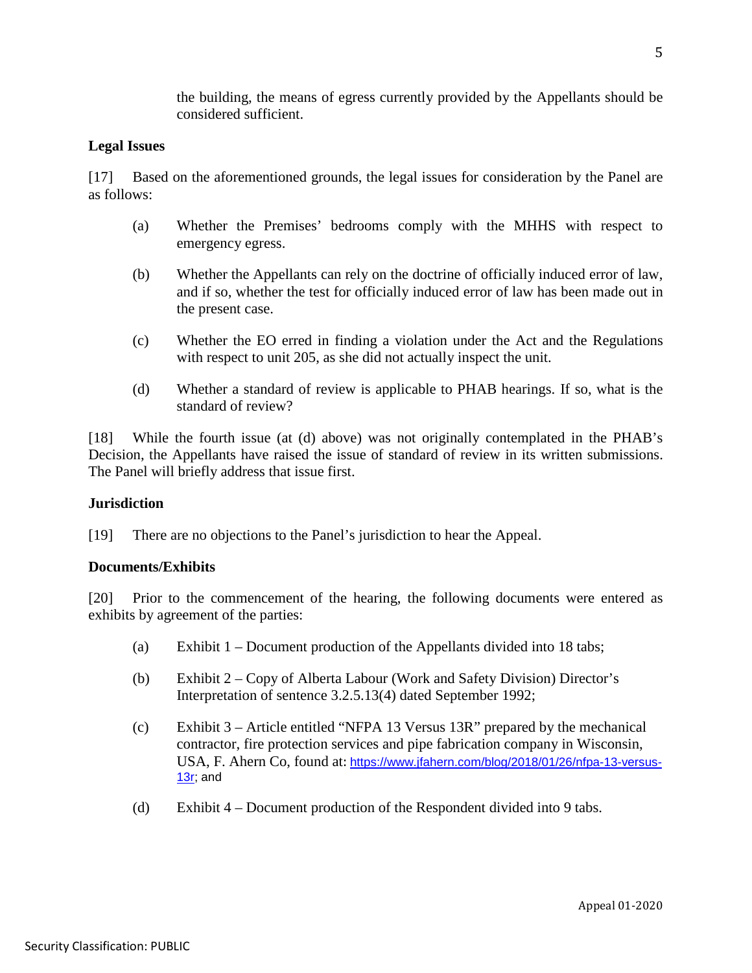the building, the means of egress currently provided by the Appellants should be considered sufficient.

## **Legal Issues**

[17] Based on the aforementioned grounds, the legal issues for consideration by the Panel are as follows:

- (a) Whether the Premises' bedrooms comply with the MHHS with respect to emergency egress.
- (b) Whether the Appellants can rely on the doctrine of officially induced error of law, and if so, whether the test for officially induced error of law has been made out in the present case.
- (c) Whether the EO erred in finding a violation under the Act and the Regulations with respect to unit 205, as she did not actually inspect the unit.
- (d) Whether a standard of review is applicable to PHAB hearings. If so, what is the standard of review?

[18] While the fourth issue (at (d) above) was not originally contemplated in the PHAB's Decision, the Appellants have raised the issue of standard of review in its written submissions. The Panel will briefly address that issue first.

# **Jurisdiction**

[19] There are no objections to the Panel's jurisdiction to hear the Appeal.

## **Documents/Exhibits**

[20] Prior to the commencement of the hearing, the following documents were entered as exhibits by agreement of the parties:

- (a) Exhibit  $1 -$  Document production of the Appellants divided into 18 tabs;
- (b) Exhibit 2 Copy of Alberta Labour (Work and Safety Division) Director's Interpretation of sentence 3.2.5.13(4) dated September 1992;
- (c) Exhibit 3 Article entitled "NFPA 13 Versus 13R" prepared by the mechanical contractor, fire protection services and pipe fabrication company in Wisconsin, USA, F. Ahern Co, found at: [https://www.jfahern.com/blog/2018/01/26/nfpa-13-versus-](https://www.jfahern.com/blog/2018/01/26/nfpa-13-versus-13r)[13r;](https://www.jfahern.com/blog/2018/01/26/nfpa-13-versus-13r) and
- (d) Exhibit 4 Document production of the Respondent divided into 9 tabs.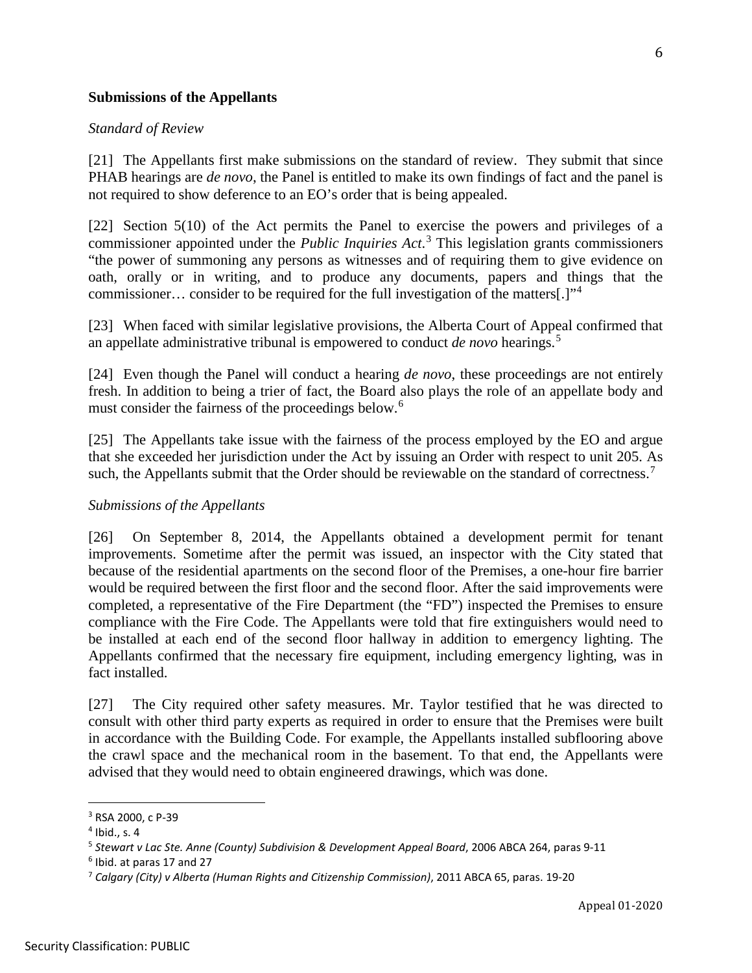### **Submissions of the Appellants**

#### *Standard of Review*

[21] The Appellants first make submissions on the standard of review. They submit that since PHAB hearings are *de novo*, the Panel is entitled to make its own findings of fact and the panel is not required to show deference to an EO's order that is being appealed.

[22] Section 5(10) of the Act permits the Panel to exercise the powers and privileges of a commissioner appointed under the *Public Inquiries Act*. [3](#page-5-0) This legislation grants commissioners "the power of summoning any persons as witnesses and of requiring them to give evidence on oath, orally or in writing, and to produce any documents, papers and things that the commissioner… consider to be required for the full investigation of the matters[.]"[4](#page-5-1)

[23] When faced with similar legislative provisions, the Alberta Court of Appeal confirmed that an appellate administrative tribunal is empowered to conduct *de novo* hearings.[5](#page-5-2)

[24] Even though the Panel will conduct a hearing *de novo*, these proceedings are not entirely fresh. In addition to being a trier of fact, the Board also plays the role of an appellate body and must consider the fairness of the proceedings below.<sup>[6](#page-5-3)</sup>

[25] The Appellants take issue with the fairness of the process employed by the EO and argue that she exceeded her jurisdiction under the Act by issuing an Order with respect to unit 205. As such, the Appellants submit that the Order should be reviewable on the standard of correctness.<sup>[7](#page-5-4)</sup>

### *Submissions of the Appellants*

[26] On September 8, 2014, the Appellants obtained a development permit for tenant improvements. Sometime after the permit was issued, an inspector with the City stated that because of the residential apartments on the second floor of the Premises, a one-hour fire barrier would be required between the first floor and the second floor. After the said improvements were completed, a representative of the Fire Department (the "FD") inspected the Premises to ensure compliance with the Fire Code. The Appellants were told that fire extinguishers would need to be installed at each end of the second floor hallway in addition to emergency lighting. The Appellants confirmed that the necessary fire equipment, including emergency lighting, was in fact installed.

[27] The City required other safety measures. Mr. Taylor testified that he was directed to consult with other third party experts as required in order to ensure that the Premises were built in accordance with the Building Code. For example, the Appellants installed subflooring above the crawl space and the mechanical room in the basement. To that end, the Appellants were advised that they would need to obtain engineered drawings, which was done.

<span id="page-5-0"></span><sup>3</sup> RSA 2000, c P-39

<span id="page-5-1"></span> $4$  Ibid., s. 4

<span id="page-5-2"></span><sup>5</sup> *Stewart v Lac Ste. Anne (County) Subdivision & Development Appeal Board*, 2006 ABCA 264, paras 9-11

<span id="page-5-3"></span><sup>6</sup> Ibid. at paras 17 and 27

<span id="page-5-4"></span><sup>7</sup> *Calgary (City) v Alberta (Human Rights and Citizenship Commission)*, 2011 ABCA 65, paras. 19-20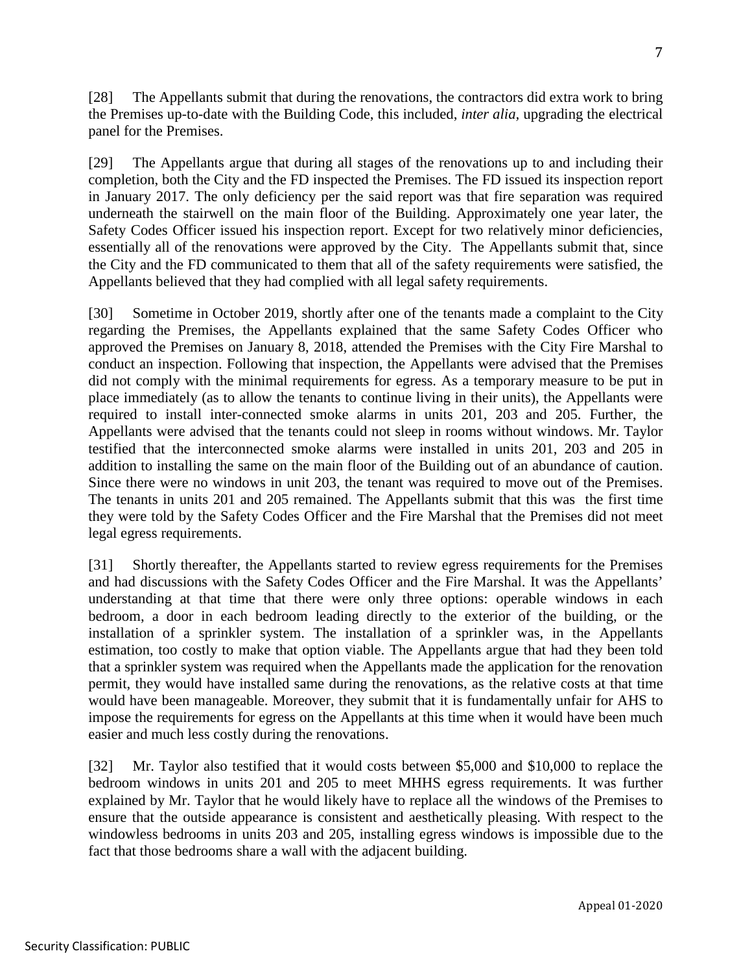[28] The Appellants submit that during the renovations, the contractors did extra work to bring the Premises up-to-date with the Building Code, this included, *inter alia,* upgrading the electrical panel for the Premises.

[29] The Appellants argue that during all stages of the renovations up to and including their completion, both the City and the FD inspected the Premises. The FD issued its inspection report in January 2017. The only deficiency per the said report was that fire separation was required underneath the stairwell on the main floor of the Building. Approximately one year later, the Safety Codes Officer issued his inspection report. Except for two relatively minor deficiencies, essentially all of the renovations were approved by the City. The Appellants submit that, since the City and the FD communicated to them that all of the safety requirements were satisfied, the Appellants believed that they had complied with all legal safety requirements.

[30] Sometime in October 2019, shortly after one of the tenants made a complaint to the City regarding the Premises, the Appellants explained that the same Safety Codes Officer who approved the Premises on January 8, 2018, attended the Premises with the City Fire Marshal to conduct an inspection. Following that inspection, the Appellants were advised that the Premises did not comply with the minimal requirements for egress. As a temporary measure to be put in place immediately (as to allow the tenants to continue living in their units), the Appellants were required to install inter-connected smoke alarms in units 201, 203 and 205. Further, the Appellants were advised that the tenants could not sleep in rooms without windows. Mr. Taylor testified that the interconnected smoke alarms were installed in units 201, 203 and 205 in addition to installing the same on the main floor of the Building out of an abundance of caution. Since there were no windows in unit 203, the tenant was required to move out of the Premises. The tenants in units 201 and 205 remained. The Appellants submit that this was the first time they were told by the Safety Codes Officer and the Fire Marshal that the Premises did not meet legal egress requirements.

[31] Shortly thereafter, the Appellants started to review egress requirements for the Premises and had discussions with the Safety Codes Officer and the Fire Marshal. It was the Appellants' understanding at that time that there were only three options: operable windows in each bedroom, a door in each bedroom leading directly to the exterior of the building, or the installation of a sprinkler system. The installation of a sprinkler was, in the Appellants estimation, too costly to make that option viable. The Appellants argue that had they been told that a sprinkler system was required when the Appellants made the application for the renovation permit, they would have installed same during the renovations, as the relative costs at that time would have been manageable. Moreover, they submit that it is fundamentally unfair for AHS to impose the requirements for egress on the Appellants at this time when it would have been much easier and much less costly during the renovations.

[32] Mr. Taylor also testified that it would costs between \$5,000 and \$10,000 to replace the bedroom windows in units 201 and 205 to meet MHHS egress requirements. It was further explained by Mr. Taylor that he would likely have to replace all the windows of the Premises to ensure that the outside appearance is consistent and aesthetically pleasing. With respect to the windowless bedrooms in units 203 and 205, installing egress windows is impossible due to the fact that those bedrooms share a wall with the adjacent building.

Appeal 01-2020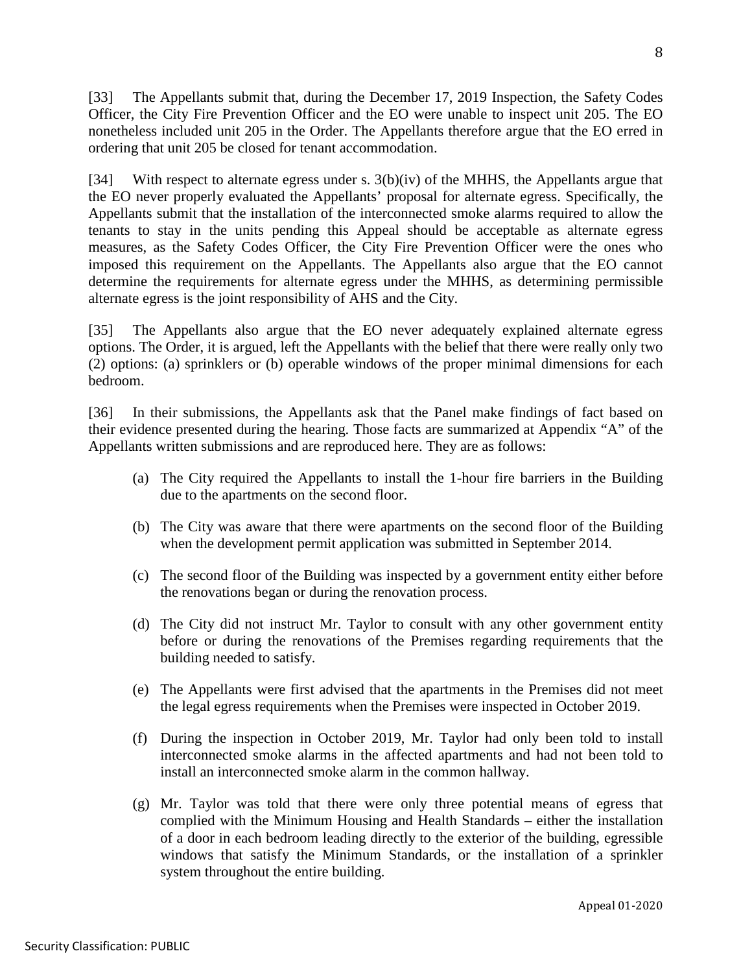[33] The Appellants submit that, during the December 17, 2019 Inspection, the Safety Codes Officer, the City Fire Prevention Officer and the EO were unable to inspect unit 205. The EO nonetheless included unit 205 in the Order. The Appellants therefore argue that the EO erred in ordering that unit 205 be closed for tenant accommodation.

[34] With respect to alternate egress under s. 3(b)(iv) of the MHHS, the Appellants argue that the EO never properly evaluated the Appellants' proposal for alternate egress. Specifically, the Appellants submit that the installation of the interconnected smoke alarms required to allow the tenants to stay in the units pending this Appeal should be acceptable as alternate egress measures, as the Safety Codes Officer, the City Fire Prevention Officer were the ones who imposed this requirement on the Appellants. The Appellants also argue that the EO cannot determine the requirements for alternate egress under the MHHS, as determining permissible alternate egress is the joint responsibility of AHS and the City.

[35] The Appellants also argue that the EO never adequately explained alternate egress options. The Order, it is argued, left the Appellants with the belief that there were really only two (2) options: (a) sprinklers or (b) operable windows of the proper minimal dimensions for each bedroom.

[36] In their submissions, the Appellants ask that the Panel make findings of fact based on their evidence presented during the hearing. Those facts are summarized at Appendix "A" of the Appellants written submissions and are reproduced here. They are as follows:

- (a) The City required the Appellants to install the 1-hour fire barriers in the Building due to the apartments on the second floor.
- (b) The City was aware that there were apartments on the second floor of the Building when the development permit application was submitted in September 2014.
- (c) The second floor of the Building was inspected by a government entity either before the renovations began or during the renovation process.
- (d) The City did not instruct Mr. Taylor to consult with any other government entity before or during the renovations of the Premises regarding requirements that the building needed to satisfy.
- (e) The Appellants were first advised that the apartments in the Premises did not meet the legal egress requirements when the Premises were inspected in October 2019.
- (f) During the inspection in October 2019, Mr. Taylor had only been told to install interconnected smoke alarms in the affected apartments and had not been told to install an interconnected smoke alarm in the common hallway.
- (g) Mr. Taylor was told that there were only three potential means of egress that complied with the Minimum Housing and Health Standards – either the installation of a door in each bedroom leading directly to the exterior of the building, egressible windows that satisfy the Minimum Standards, or the installation of a sprinkler system throughout the entire building.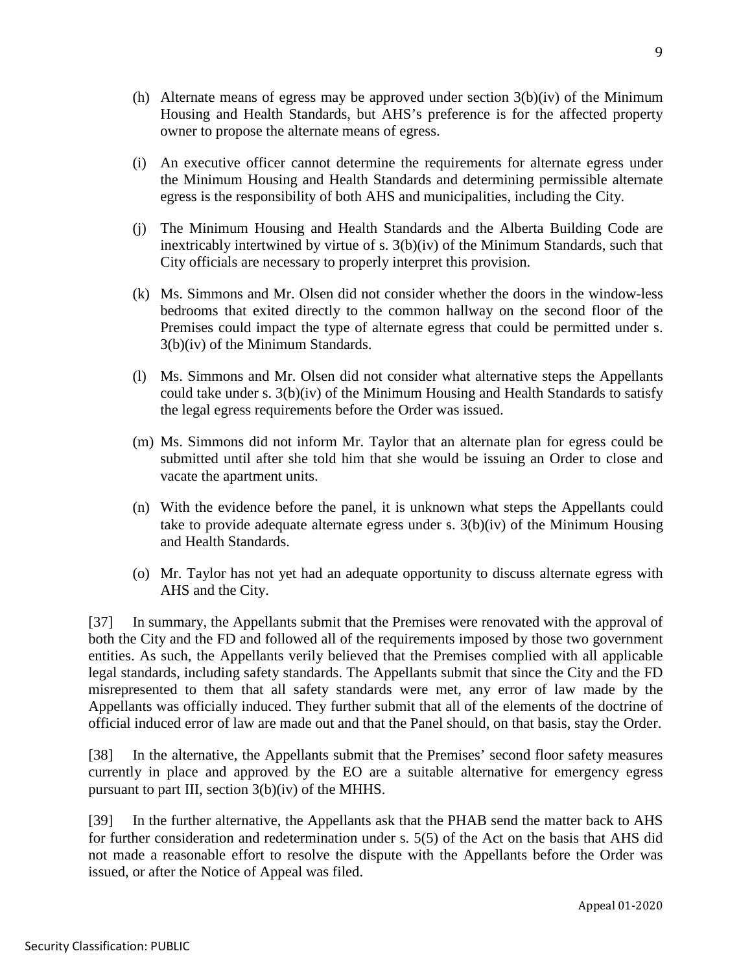- (h) Alternate means of egress may be approved under section  $3(b)(iv)$  of the Minimum Housing and Health Standards, but AHS's preference is for the affected property owner to propose the alternate means of egress.
- (i) An executive officer cannot determine the requirements for alternate egress under the Minimum Housing and Health Standards and determining permissible alternate egress is the responsibility of both AHS and municipalities, including the City.
- (j) The Minimum Housing and Health Standards and the Alberta Building Code are inextricably intertwined by virtue of s. 3(b)(iv) of the Minimum Standards, such that City officials are necessary to properly interpret this provision.
- (k) Ms. Simmons and Mr. Olsen did not consider whether the doors in the window-less bedrooms that exited directly to the common hallway on the second floor of the Premises could impact the type of alternate egress that could be permitted under s. 3(b)(iv) of the Minimum Standards.
- (l) Ms. Simmons and Mr. Olsen did not consider what alternative steps the Appellants could take under s. 3(b)(iv) of the Minimum Housing and Health Standards to satisfy the legal egress requirements before the Order was issued.
- (m) Ms. Simmons did not inform Mr. Taylor that an alternate plan for egress could be submitted until after she told him that she would be issuing an Order to close and vacate the apartment units.
- (n) With the evidence before the panel, it is unknown what steps the Appellants could take to provide adequate alternate egress under s. 3(b)(iv) of the Minimum Housing and Health Standards.
- (o) Mr. Taylor has not yet had an adequate opportunity to discuss alternate egress with AHS and the City.

[37] In summary, the Appellants submit that the Premises were renovated with the approval of both the City and the FD and followed all of the requirements imposed by those two government entities. As such, the Appellants verily believed that the Premises complied with all applicable legal standards, including safety standards. The Appellants submit that since the City and the FD misrepresented to them that all safety standards were met, any error of law made by the Appellants was officially induced. They further submit that all of the elements of the doctrine of official induced error of law are made out and that the Panel should, on that basis, stay the Order.

[38] In the alternative, the Appellants submit that the Premises' second floor safety measures currently in place and approved by the EO are a suitable alternative for emergency egress pursuant to part III, section 3(b)(iv) of the MHHS.

[39] In the further alternative, the Appellants ask that the PHAB send the matter back to AHS for further consideration and redetermination under s. 5(5) of the Act on the basis that AHS did not made a reasonable effort to resolve the dispute with the Appellants before the Order was issued, or after the Notice of Appeal was filed.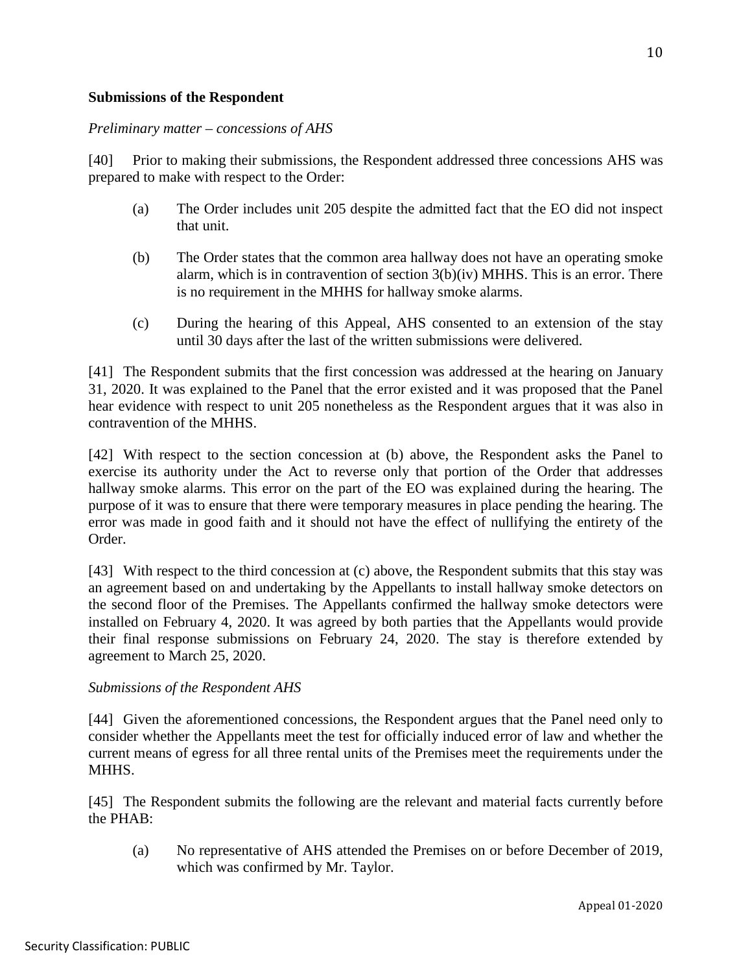## **Submissions of the Respondent**

### *Preliminary matter – concessions of AHS*

[40] Prior to making their submissions, the Respondent addressed three concessions AHS was prepared to make with respect to the Order:

- (a) The Order includes unit 205 despite the admitted fact that the EO did not inspect that unit.
- (b) The Order states that the common area hallway does not have an operating smoke alarm, which is in contravention of section 3(b)(iv) MHHS. This is an error. There is no requirement in the MHHS for hallway smoke alarms.
- (c) During the hearing of this Appeal, AHS consented to an extension of the stay until 30 days after the last of the written submissions were delivered.

[41] The Respondent submits that the first concession was addressed at the hearing on January 31, 2020. It was explained to the Panel that the error existed and it was proposed that the Panel hear evidence with respect to unit 205 nonetheless as the Respondent argues that it was also in contravention of the MHHS.

[42] With respect to the section concession at (b) above, the Respondent asks the Panel to exercise its authority under the Act to reverse only that portion of the Order that addresses hallway smoke alarms. This error on the part of the EO was explained during the hearing. The purpose of it was to ensure that there were temporary measures in place pending the hearing. The error was made in good faith and it should not have the effect of nullifying the entirety of the Order.

[43] With respect to the third concession at (c) above, the Respondent submits that this stay was an agreement based on and undertaking by the Appellants to install hallway smoke detectors on the second floor of the Premises. The Appellants confirmed the hallway smoke detectors were installed on February 4, 2020. It was agreed by both parties that the Appellants would provide their final response submissions on February 24, 2020. The stay is therefore extended by agreement to March 25, 2020.

## *Submissions of the Respondent AHS*

[44] Given the aforementioned concessions, the Respondent argues that the Panel need only to consider whether the Appellants meet the test for officially induced error of law and whether the current means of egress for all three rental units of the Premises meet the requirements under the MHHS.

[45] The Respondent submits the following are the relevant and material facts currently before the PHAB:

(a) No representative of AHS attended the Premises on or before December of 2019, which was confirmed by Mr. Taylor.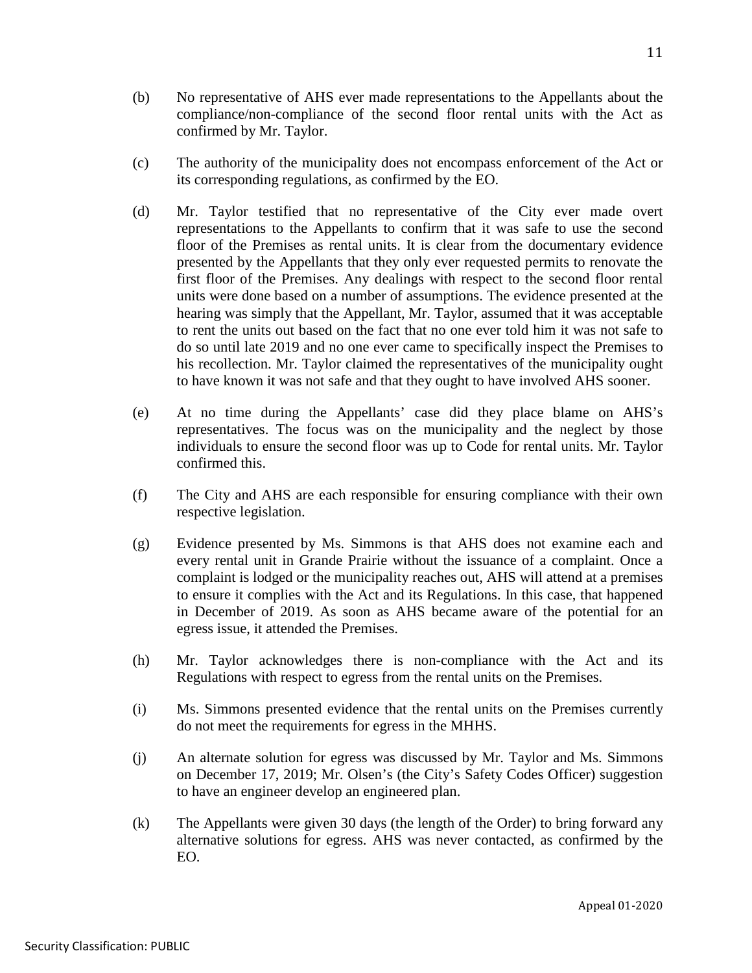- (b) No representative of AHS ever made representations to the Appellants about the compliance/non-compliance of the second floor rental units with the Act as confirmed by Mr. Taylor.
- (c) The authority of the municipality does not encompass enforcement of the Act or its corresponding regulations, as confirmed by the EO.
- (d) Mr. Taylor testified that no representative of the City ever made overt representations to the Appellants to confirm that it was safe to use the second floor of the Premises as rental units. It is clear from the documentary evidence presented by the Appellants that they only ever requested permits to renovate the first floor of the Premises. Any dealings with respect to the second floor rental units were done based on a number of assumptions. The evidence presented at the hearing was simply that the Appellant, Mr. Taylor, assumed that it was acceptable to rent the units out based on the fact that no one ever told him it was not safe to do so until late 2019 and no one ever came to specifically inspect the Premises to his recollection. Mr. Taylor claimed the representatives of the municipality ought to have known it was not safe and that they ought to have involved AHS sooner.
- (e) At no time during the Appellants' case did they place blame on AHS's representatives. The focus was on the municipality and the neglect by those individuals to ensure the second floor was up to Code for rental units. Mr. Taylor confirmed this.
- (f) The City and AHS are each responsible for ensuring compliance with their own respective legislation.
- (g) Evidence presented by Ms. Simmons is that AHS does not examine each and every rental unit in Grande Prairie without the issuance of a complaint. Once a complaint is lodged or the municipality reaches out, AHS will attend at a premises to ensure it complies with the Act and its Regulations. In this case, that happened in December of 2019. As soon as AHS became aware of the potential for an egress issue, it attended the Premises.
- (h) Mr. Taylor acknowledges there is non-compliance with the Act and its Regulations with respect to egress from the rental units on the Premises.
- (i) Ms. Simmons presented evidence that the rental units on the Premises currently do not meet the requirements for egress in the MHHS.
- (j) An alternate solution for egress was discussed by Mr. Taylor and Ms. Simmons on December 17, 2019; Mr. Olsen's (the City's Safety Codes Officer) suggestion to have an engineer develop an engineered plan.
- (k) The Appellants were given 30 days (the length of the Order) to bring forward any alternative solutions for egress. AHS was never contacted, as confirmed by the EO.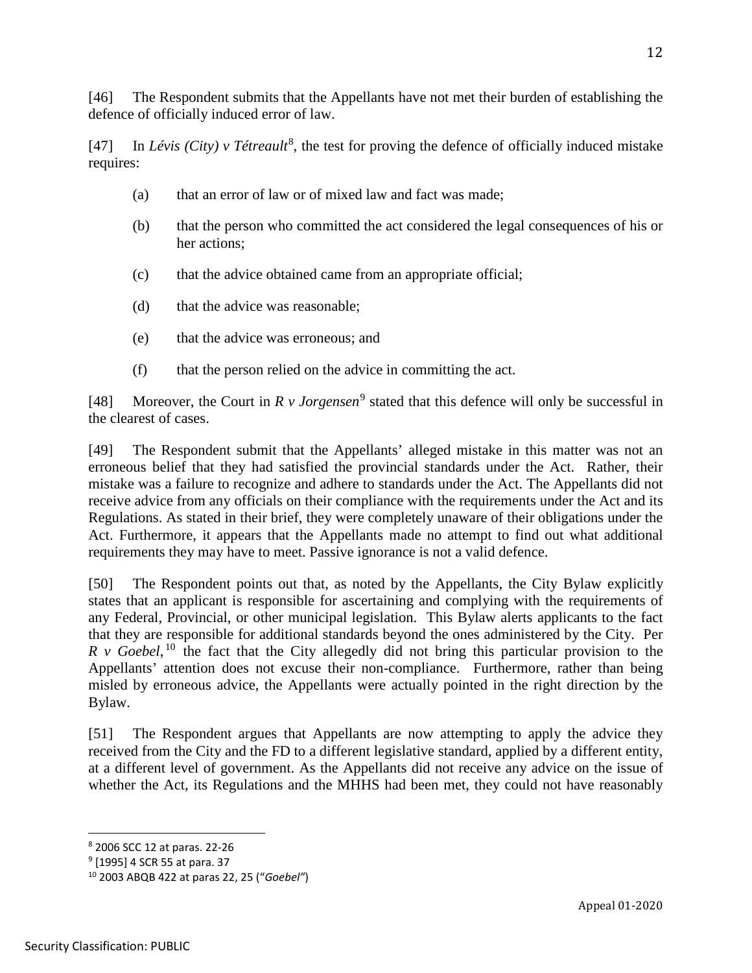[46] The Respondent submits that the Appellants have not met their burden of establishing the defence of officially induced error of law.

[47] In *Lévis (City) v Tétreault<sup>[8](#page-11-0)</sup>*, the test for proving the defence of officially induced mistake requires:

- (a) that an error of law or of mixed law and fact was made;
- (b) that the person who committed the act considered the legal consequences of his or her actions;
- (c) that the advice obtained came from an appropriate official;
- (d) that the advice was reasonable;
- (e) that the advice was erroneous; and
- (f) that the person relied on the advice in committing the act.

[48] Moreover, the Court in  $R \nu$  *Jorgensen*<sup>[9](#page-11-1)</sup> stated that this defence will only be successful in the clearest of cases.

[49] The Respondent submit that the Appellants' alleged mistake in this matter was not an erroneous belief that they had satisfied the provincial standards under the Act. Rather, their mistake was a failure to recognize and adhere to standards under the Act. The Appellants did not receive advice from any officials on their compliance with the requirements under the Act and its Regulations. As stated in their brief, they were completely unaware of their obligations under the Act. Furthermore, it appears that the Appellants made no attempt to find out what additional requirements they may have to meet. Passive ignorance is not a valid defence.

[50] The Respondent points out that, as noted by the Appellants, the City Bylaw explicitly states that an applicant is responsible for ascertaining and complying with the requirements of any Federal, Provincial, or other municipal legislation. This Bylaw alerts applicants to the fact that they are responsible for additional standards beyond the ones administered by the City. Per  $R$  v Goebel,  $10$  the fact that the City allegedly did not bring this particular provision to the Appellants' attention does not excuse their non-compliance. Furthermore, rather than being misled by erroneous advice, the Appellants were actually pointed in the right direction by the Bylaw.

[51] The Respondent argues that Appellants are now attempting to apply the advice they received from the City and the FD to a different legislative standard, applied by a different entity, at a different level of government. As the Appellants did not receive any advice on the issue of whether the Act, its Regulations and the MHHS had been met, they could not have reasonably

<span id="page-11-0"></span><sup>8</sup> 2006 SCC 12 at paras. 22-26

<span id="page-11-1"></span><sup>9</sup> [1995] 4 SCR 55 at para. 37

<span id="page-11-2"></span><sup>10</sup> 2003 ABQB 422 at paras 22, 25 ("*Goebel"*)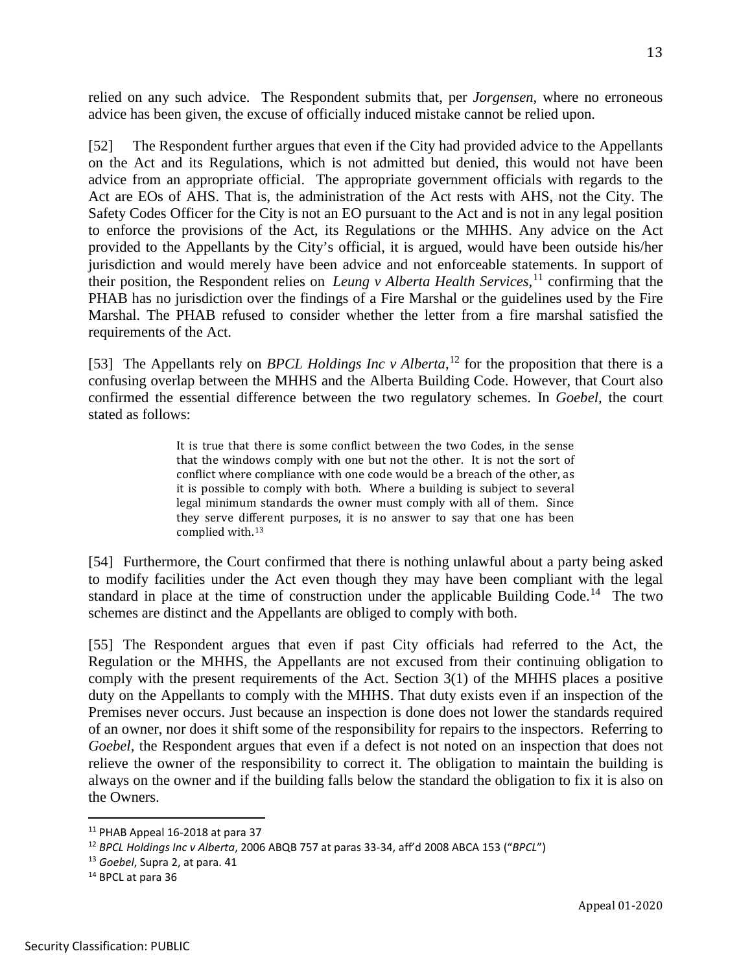relied on any such advice. The Respondent submits that, per *Jorgensen*, where no erroneous advice has been given, the excuse of officially induced mistake cannot be relied upon.

[52] The Respondent further argues that even if the City had provided advice to the Appellants on the Act and its Regulations, which is not admitted but denied, this would not have been advice from an appropriate official. The appropriate government officials with regards to the Act are EOs of AHS. That is, the administration of the Act rests with AHS, not the City. The Safety Codes Officer for the City is not an EO pursuant to the Act and is not in any legal position to enforce the provisions of the Act, its Regulations or the MHHS. Any advice on the Act provided to the Appellants by the City's official, it is argued, would have been outside his/her jurisdiction and would merely have been advice and not enforceable statements. In support of their position, the Respondent relies on *Leung v Alberta Health Services,*[11](#page-12-0) confirming that the PHAB has no jurisdiction over the findings of a Fire Marshal or the guidelines used by the Fire Marshal. The PHAB refused to consider whether the letter from a fire marshal satisfied the requirements of the Act.

[53] The Appellants rely on *BPCL Holdings Inc v Alberta*,<sup>[12](#page-12-1)</sup> for the proposition that there is a confusing overlap between the MHHS and the Alberta Building Code. However, that Court also confirmed the essential difference between the two regulatory schemes. In *Goebel,* the court stated as follows:

> It is true that there is some conflict between the two Codes, in the sense that the windows comply with one but not the other. It is not the sort of conflict where compliance with one code would be a breach of the other, as it is possible to comply with both. Where a building is subject to several legal minimum standards the owner must comply with all of them. Since they serve different purposes, it is no answer to say that one has been complied with.[13](#page-12-2)

[54] Furthermore, the Court confirmed that there is nothing unlawful about a party being asked to modify facilities under the Act even though they may have been compliant with the legal standard in place at the time of construction under the applicable Building Code.<sup>[14](#page-12-3)</sup> The two schemes are distinct and the Appellants are obliged to comply with both.

[55] The Respondent argues that even if past City officials had referred to the Act, the Regulation or the MHHS, the Appellants are not excused from their continuing obligation to comply with the present requirements of the Act. Section 3(1) of the MHHS places a positive duty on the Appellants to comply with the MHHS. That duty exists even if an inspection of the Premises never occurs. Just because an inspection is done does not lower the standards required of an owner, nor does it shift some of the responsibility for repairs to the inspectors. Referring to *Goebel*, the Respondent argues that even if a defect is not noted on an inspection that does not relieve the owner of the responsibility to correct it. The obligation to maintain the building is always on the owner and if the building falls below the standard the obligation to fix it is also on the Owners.

<span id="page-12-0"></span><sup>11</sup> PHAB Appeal 16-2018 at para 37

<span id="page-12-1"></span><sup>12</sup> *BPCL Holdings Inc v Alberta*, 2006 ABQB 757 at paras 33-34, aff'd 2008 ABCA 153 ("*BPCL*")

<span id="page-12-2"></span><sup>13</sup> *Goebel*, Supra 2, at para. 41

<span id="page-12-3"></span><sup>&</sup>lt;sup>14</sup> BPCL at para 36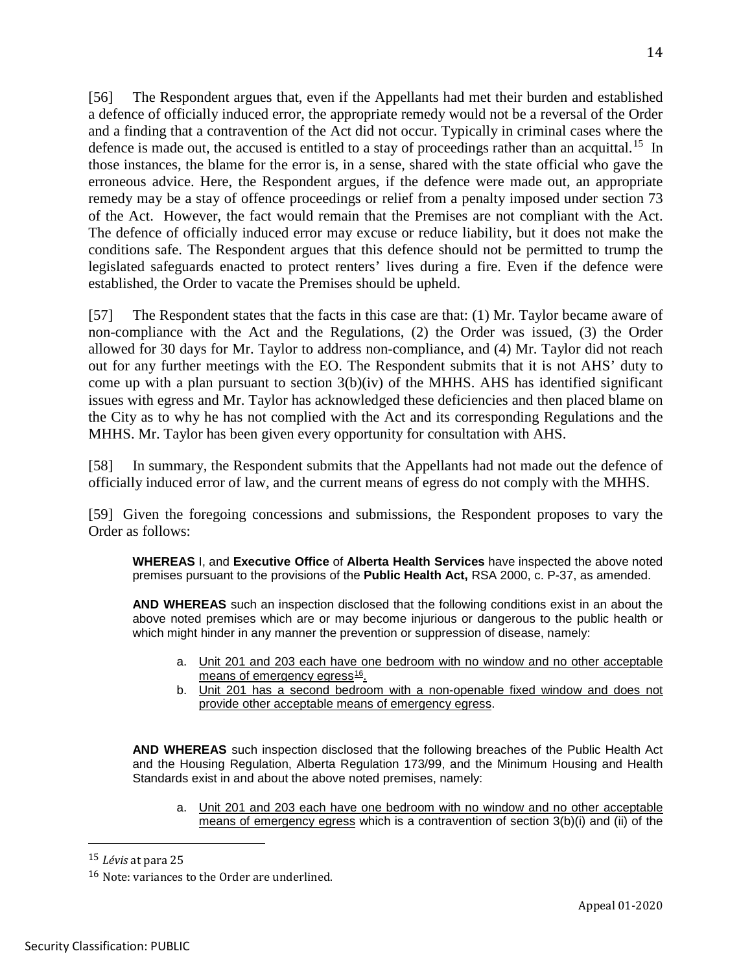[56] The Respondent argues that, even if the Appellants had met their burden and established a defence of officially induced error, the appropriate remedy would not be a reversal of the Order and a finding that a contravention of the Act did not occur. Typically in criminal cases where the defence is made out, the accused is entitled to a stay of proceedings rather than an acquittal.<sup>15</sup> In those instances, the blame for the error is, in a sense, shared with the state official who gave the erroneous advice. Here, the Respondent argues, if the defence were made out, an appropriate remedy may be a stay of offence proceedings or relief from a penalty imposed under section 73 of the Act. However, the fact would remain that the Premises are not compliant with the Act. The defence of officially induced error may excuse or reduce liability, but it does not make the conditions safe. The Respondent argues that this defence should not be permitted to trump the legislated safeguards enacted to protect renters' lives during a fire. Even if the defence were established, the Order to vacate the Premises should be upheld.

[57] The Respondent states that the facts in this case are that: (1) Mr. Taylor became aware of non-compliance with the Act and the Regulations, (2) the Order was issued, (3) the Order allowed for 30 days for Mr. Taylor to address non-compliance, and (4) Mr. Taylor did not reach out for any further meetings with the EO. The Respondent submits that it is not AHS' duty to come up with a plan pursuant to section  $3(b)(iv)$  of the MHHS. AHS has identified significant issues with egress and Mr. Taylor has acknowledged these deficiencies and then placed blame on the City as to why he has not complied with the Act and its corresponding Regulations and the MHHS. Mr. Taylor has been given every opportunity for consultation with AHS.

[58] In summary, the Respondent submits that the Appellants had not made out the defence of officially induced error of law, and the current means of egress do not comply with the MHHS.

[59] Given the foregoing concessions and submissions, the Respondent proposes to vary the Order as follows:

**WHEREAS** I, and **Executive Office** of **Alberta Health Services** have inspected the above noted premises pursuant to the provisions of the **Public Health Act,** RSA 2000, c. P-37, as amended.

**AND WHEREAS** such an inspection disclosed that the following conditions exist in an about the above noted premises which are or may become injurious or dangerous to the public health or which might hinder in any manner the prevention or suppression of disease, namely:

- a. Unit 201 and 203 each have one bedroom with no window and no other acceptable means of emergency egress<sup>16</sup>.
- b. Unit 201 has a second bedroom with a non-openable fixed window and does not provide other acceptable means of emergency egress.

**AND WHEREAS** such inspection disclosed that the following breaches of the Public Health Act and the Housing Regulation, Alberta Regulation 173/99, and the Minimum Housing and Health Standards exist in and about the above noted premises, namely:

a. Unit 201 and 203 each have one bedroom with no window and no other acceptable means of emergency egress which is a contravention of section 3(b)(i) and (ii) of the

<span id="page-13-0"></span> <sup>15</sup> *Lévis* at para 25

<span id="page-13-1"></span><sup>16</sup> Note: variances to the Order are underlined.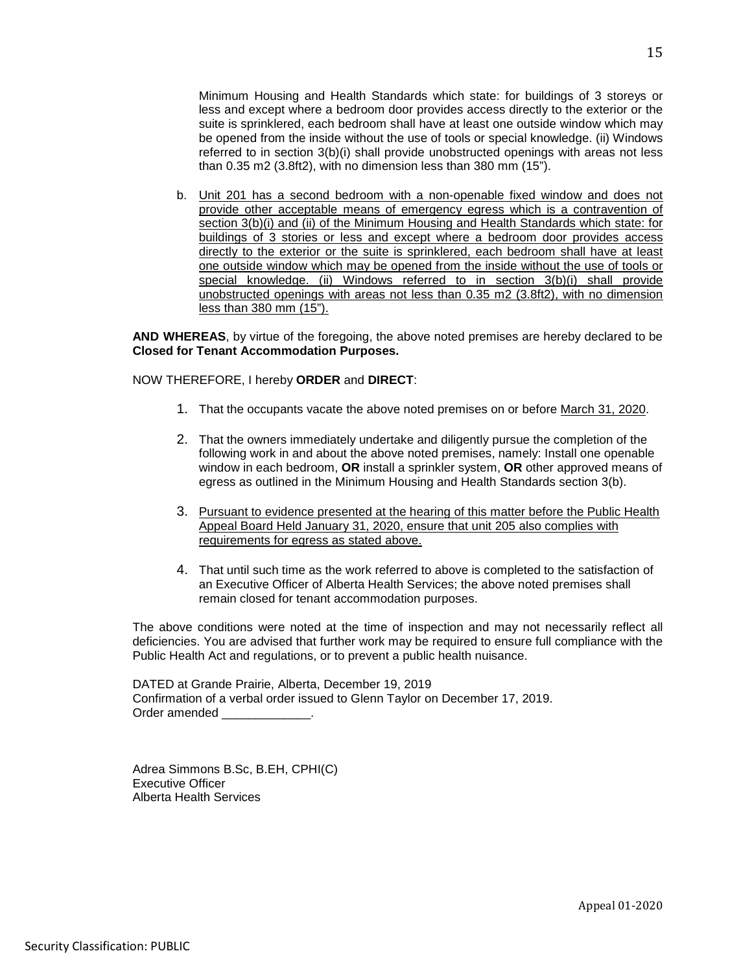Minimum Housing and Health Standards which state: for buildings of 3 storeys or less and except where a bedroom door provides access directly to the exterior or the suite is sprinklered, each bedroom shall have at least one outside window which may be opened from the inside without the use of tools or special knowledge. (ii) Windows referred to in section 3(b)(i) shall provide unobstructed openings with areas not less than 0.35 m2 (3.8ft2), with no dimension less than 380 mm (15").

b. Unit 201 has a second bedroom with a non-openable fixed window and does not provide other acceptable means of emergency egress which is a contravention of section 3(b)(i) and (ii) of the Minimum Housing and Health Standards which state: for buildings of 3 stories or less and except where a bedroom door provides access directly to the exterior or the suite is sprinklered, each bedroom shall have at least one outside window which may be opened from the inside without the use of tools or special knowledge. (ii) Windows referred to in section 3(b)(i) shall provide unobstructed openings with areas not less than 0.35 m2 (3.8ft2), with no dimension less than 380 mm (15").

**AND WHEREAS**, by virtue of the foregoing, the above noted premises are hereby declared to be **Closed for Tenant Accommodation Purposes.** 

NOW THEREFORE, I hereby **ORDER** and **DIRECT**:

- 1. That the occupants vacate the above noted premises on or before March 31, 2020.
- 2. That the owners immediately undertake and diligently pursue the completion of the following work in and about the above noted premises, namely: Install one openable window in each bedroom, **OR** install a sprinkler system, **OR** other approved means of egress as outlined in the Minimum Housing and Health Standards section 3(b).
- 3. Pursuant to evidence presented at the hearing of this matter before the Public Health Appeal Board Held January 31, 2020, ensure that unit 205 also complies with requirements for egress as stated above.
- 4. That until such time as the work referred to above is completed to the satisfaction of an Executive Officer of Alberta Health Services; the above noted premises shall remain closed for tenant accommodation purposes.

The above conditions were noted at the time of inspection and may not necessarily reflect all deficiencies. You are advised that further work may be required to ensure full compliance with the Public Health Act and regulations, or to prevent a public health nuisance.

DATED at Grande Prairie, Alberta, December 19, 2019 Confirmation of a verbal order issued to Glenn Taylor on December 17, 2019. Order amended

Adrea Simmons B.Sc, B.EH, CPHI(C) Executive Officer Alberta Health Services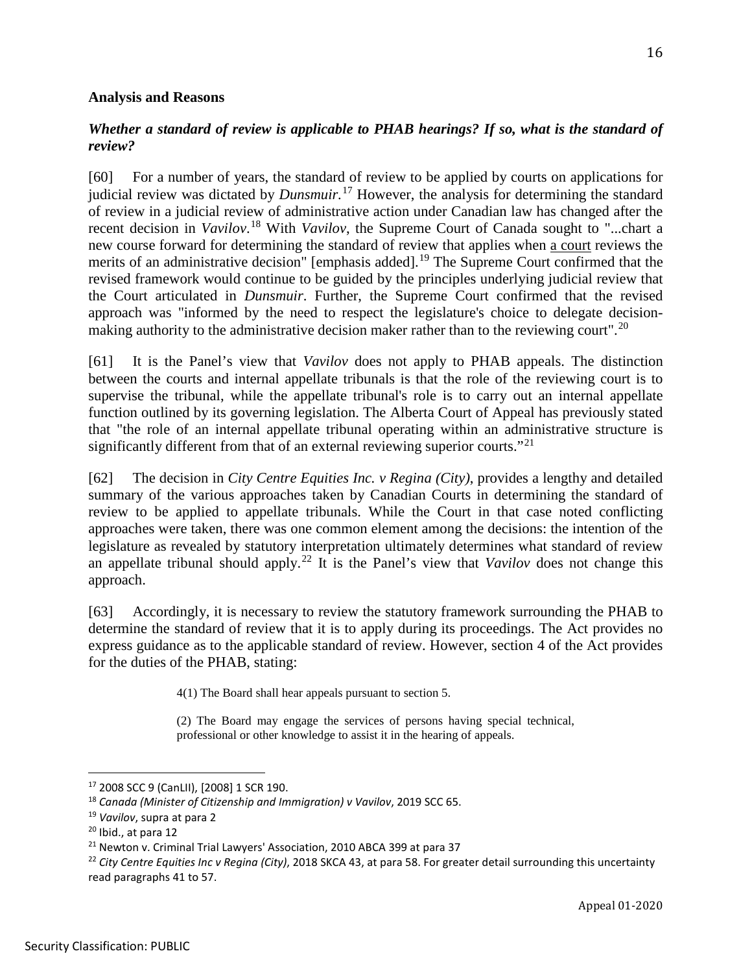### **Analysis and Reasons**

## *Whether a standard of review is applicable to PHAB hearings? If so, what is the standard of review?*

[60] For a number of years, the standard of review to be applied by courts on applications for judicial review was dictated by *Dunsmuir.* [17](#page-15-0) However, the analysis for determining the standard of review in a judicial review of administrative action under Canadian law has changed after the recent decision in *Vavilov*. [18](#page-15-1) With *Vavilov*, the Supreme Court of Canada sought to "...chart a new course forward for determining the standard of review that applies when a court reviews the merits of an administrative decision" [emphasis added].<sup>[19](#page-15-2)</sup> The Supreme Court confirmed that the revised framework would continue to be guided by the principles underlying judicial review that the Court articulated in *Dunsmuir*. Further, the Supreme Court confirmed that the revised approach was "informed by the need to respect the legislature's choice to delegate decision-making authority to the administrative decision maker rather than to the reviewing court".<sup>[20](#page-15-3)</sup>

[61] It is the Panel's view that *Vavilov* does not apply to PHAB appeals. The distinction between the courts and internal appellate tribunals is that the role of the reviewing court is to supervise the tribunal, while the appellate tribunal's role is to carry out an internal appellate function outlined by its governing legislation. The Alberta Court of Appeal has previously stated that "the role of an internal appellate tribunal operating within an administrative structure is significantly different from that of an external reviewing superior courts."<sup>[21](#page-15-4)</sup>

[62] The decision in *City Centre Equities Inc. v Regina (City)*, provides a lengthy and detailed summary of the various approaches taken by Canadian Courts in determining the standard of review to be applied to appellate tribunals. While the Court in that case noted conflicting approaches were taken, there was one common element among the decisions: the intention of the legislature as revealed by statutory interpretation ultimately determines what standard of review an appellate tribunal should apply.[22](#page-15-5) It is the Panel's view that *Vavilov* does not change this approach.

[63] Accordingly, it is necessary to review the statutory framework surrounding the PHAB to determine the standard of review that it is to apply during its proceedings. The Act provides no express guidance as to the applicable standard of review. However, section 4 of the Act provides for the duties of the PHAB, stating:

4(1) The Board shall hear appeals pursuant to section 5.

(2) The Board may engage the services of persons having special technical, professional or other knowledge to assist it in the hearing of appeals.

<span id="page-15-0"></span><sup>17</sup> 2008 SCC 9 (CanLII), [2008] 1 SCR 190.

<span id="page-15-1"></span><sup>18</sup> *Canada (Minister of Citizenship and Immigration) v Vavilov*, 2019 SCC 65.

<span id="page-15-2"></span><sup>19</sup> *Vavilov*, supra at para 2

<span id="page-15-3"></span><sup>20</sup> Ibid., at para 12

<sup>&</sup>lt;sup>21</sup> Newton v. Criminal Trial Lawyers' Association, 2010 ABCA 399 at para 37

<span id="page-15-5"></span><span id="page-15-4"></span><sup>22</sup> *City Centre Equities Inc v Regina (City)*, 2018 SKCA 43, at para 58. For greater detail surrounding this uncertainty read paragraphs 41 to 57.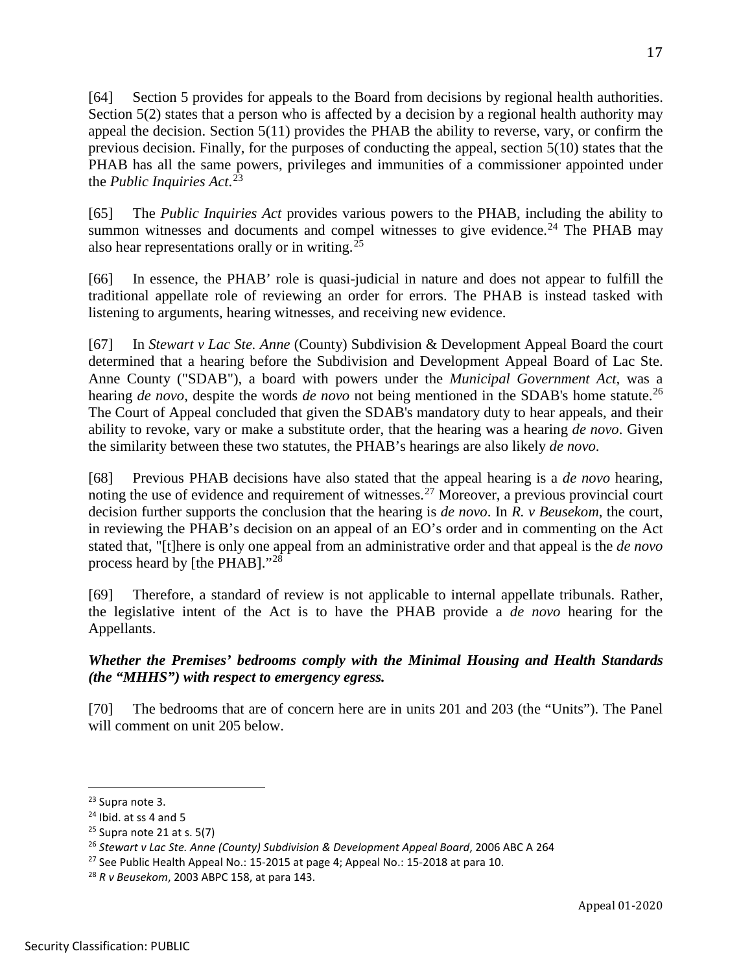[64] Section 5 provides for appeals to the Board from decisions by regional health authorities. Section 5(2) states that a person who is affected by a decision by a regional health authority may appeal the decision. Section 5(11) provides the PHAB the ability to reverse, vary, or confirm the previous decision. Finally, for the purposes of conducting the appeal, section 5(10) states that the PHAB has all the same powers, privileges and immunities of a commissioner appointed under the *Public Inquiries Act*. [23](#page-16-0)

[65] The *Public Inquiries Act* provides various powers to the PHAB, including the ability to summon witnesses and documents and compel witnesses to give evidence.<sup>[24](#page-16-1)</sup> The PHAB may also hear representations orally or in writing.[25](#page-16-2)

[66] In essence, the PHAB' role is quasi-judicial in nature and does not appear to fulfill the traditional appellate role of reviewing an order for errors. The PHAB is instead tasked with listening to arguments, hearing witnesses, and receiving new evidence.

[67] In *Stewart v Lac Ste. Anne* (County) Subdivision & Development Appeal Board the court determined that a hearing before the Subdivision and Development Appeal Board of Lac Ste. Anne County ("SDAB"), a board with powers under the *Municipal Government Act,* was a hearing *de novo*, despite the words *de novo* not being mentioned in the SDAB's home statute.<sup>[26](#page-16-3)</sup> The Court of Appeal concluded that given the SDAB's mandatory duty to hear appeals, and their ability to revoke, vary or make a substitute order, that the hearing was a hearing *de novo*. Given the similarity between these two statutes, the PHAB's hearings are also likely *de novo*.

[68] Previous PHAB decisions have also stated that the appeal hearing is a *de novo* hearing, noting the use of evidence and requirement of witnesses.<sup>[27](#page-16-4)</sup> Moreover, a previous provincial court decision further supports the conclusion that the hearing is *de novo*. In *R. v Beusekom*, the court, in reviewing the PHAB's decision on an appeal of an EO's order and in commenting on the Act stated that, "[t]here is only one appeal from an administrative order and that appeal is the *de novo* process heard by [the PHAB]."[28](#page-16-5)

[69] Therefore, a standard of review is not applicable to internal appellate tribunals. Rather, the legislative intent of the Act is to have the PHAB provide a *de novo* hearing for the Appellants.

# *Whether the Premises' bedrooms comply with the Minimal Housing and Health Standards (the "MHHS") with respect to emergency egress.*

[70] The bedrooms that are of concern here are in units 201 and 203 (the "Units"). The Panel will comment on unit 205 below.

<span id="page-16-0"></span>

<span id="page-16-1"></span><sup>&</sup>lt;sup>23</sup> Supra note 3.<br><sup>24</sup> Ibid. at ss 4 and 5<br><sup>25</sup> Supra note 21 at s. 5(7)

<span id="page-16-3"></span><span id="page-16-2"></span><sup>26</sup> *Stewart v Lac Ste. Anne (County) Subdivision & Development Appeal Board*, 2006 ABC A 264

<span id="page-16-4"></span> $27$  See Public Health Appeal No.: 15-2015 at page 4; Appeal No.: 15-2018 at para 10.

<span id="page-16-5"></span><sup>28</sup> *R v Beusekom*, 2003 ABPC 158, at para 143.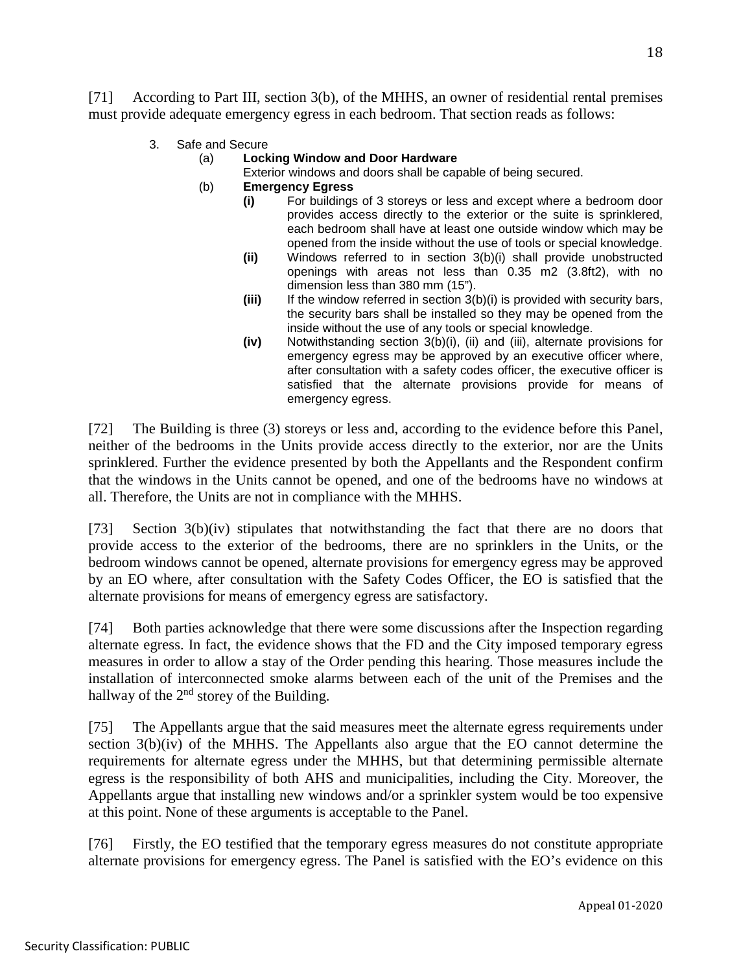[71] According to Part III, section 3(b), of the MHHS, an owner of residential rental premises must provide adequate emergency egress in each bedroom. That section reads as follows:

3. Safe and Secure

### (a) **Locking Window and Door Hardware**

- Exterior windows and doors shall be capable of being secured.
- (b) **Emergency Egress**
	- **(i)** For buildings of 3 storeys or less and except where a bedroom door provides access directly to the exterior or the suite is sprinklered, each bedroom shall have at least one outside window which may be opened from the inside without the use of tools or special knowledge.
	- **(ii)** Windows referred to in section 3(b)(i) shall provide unobstructed openings with areas not less than 0.35 m2 (3.8ft2), with no dimension less than 380 mm (15").
	- **(iii)** If the window referred in section 3(b)(i) is provided with security bars, the security bars shall be installed so they may be opened from the inside without the use of any tools or special knowledge.
	- **(iv)** Notwithstanding section 3(b)(i), (ii) and (iii), alternate provisions for emergency egress may be approved by an executive officer where, after consultation with a safety codes officer, the executive officer is satisfied that the alternate provisions provide for means of emergency egress.

[72] The Building is three (3) storeys or less and, according to the evidence before this Panel, neither of the bedrooms in the Units provide access directly to the exterior, nor are the Units sprinklered. Further the evidence presented by both the Appellants and the Respondent confirm that the windows in the Units cannot be opened, and one of the bedrooms have no windows at all. Therefore, the Units are not in compliance with the MHHS.

[73] Section 3(b)(iv) stipulates that notwithstanding the fact that there are no doors that provide access to the exterior of the bedrooms, there are no sprinklers in the Units, or the bedroom windows cannot be opened, alternate provisions for emergency egress may be approved by an EO where, after consultation with the Safety Codes Officer, the EO is satisfied that the alternate provisions for means of emergency egress are satisfactory.

[74] Both parties acknowledge that there were some discussions after the Inspection regarding alternate egress. In fact, the evidence shows that the FD and the City imposed temporary egress measures in order to allow a stay of the Order pending this hearing. Those measures include the installation of interconnected smoke alarms between each of the unit of the Premises and the hallway of the  $2<sup>nd</sup>$  storey of the Building.

[75] The Appellants argue that the said measures meet the alternate egress requirements under section 3(b)(iv) of the MHHS. The Appellants also argue that the EO cannot determine the requirements for alternate egress under the MHHS, but that determining permissible alternate egress is the responsibility of both AHS and municipalities, including the City. Moreover, the Appellants argue that installing new windows and/or a sprinkler system would be too expensive at this point. None of these arguments is acceptable to the Panel.

[76] Firstly, the EO testified that the temporary egress measures do not constitute appropriate alternate provisions for emergency egress. The Panel is satisfied with the EO's evidence on this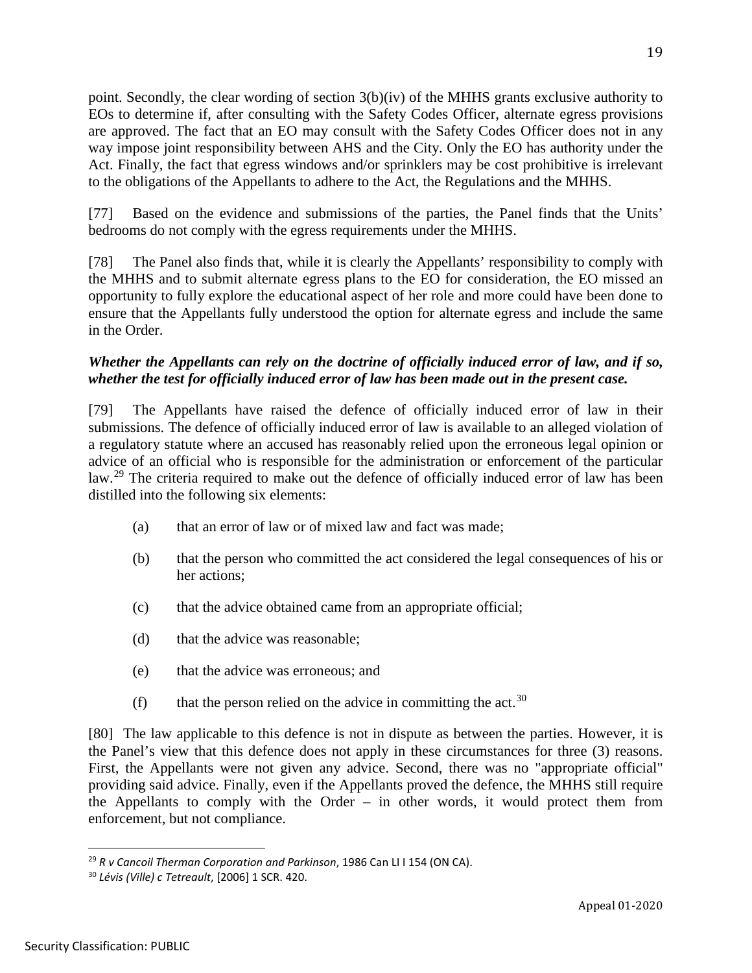point. Secondly, the clear wording of section  $3(b)(iv)$  of the MHHS grants exclusive authority to EOs to determine if, after consulting with the Safety Codes Officer, alternate egress provisions are approved. The fact that an EO may consult with the Safety Codes Officer does not in any way impose joint responsibility between AHS and the City. Only the EO has authority under the Act. Finally, the fact that egress windows and/or sprinklers may be cost prohibitive is irrelevant to the obligations of the Appellants to adhere to the Act, the Regulations and the MHHS.

[77] Based on the evidence and submissions of the parties, the Panel finds that the Units' bedrooms do not comply with the egress requirements under the MHHS.

[78] The Panel also finds that, while it is clearly the Appellants' responsibility to comply with the MHHS and to submit alternate egress plans to the EO for consideration, the EO missed an opportunity to fully explore the educational aspect of her role and more could have been done to ensure that the Appellants fully understood the option for alternate egress and include the same in the Order.

# *Whether the Appellants can rely on the doctrine of officially induced error of law, and if so, whether the test for officially induced error of law has been made out in the present case.*

[79] The Appellants have raised the defence of officially induced error of law in their submissions. The defence of officially induced error of law is available to an alleged violation of a regulatory statute where an accused has reasonably relied upon the erroneous legal opinion or advice of an official who is responsible for the administration or enforcement of the particular law.<sup>[29](#page-18-0)</sup> The criteria required to make out the defence of officially induced error of law has been distilled into the following six elements:

- (a) that an error of law or of mixed law and fact was made;
- (b) that the person who committed the act considered the legal consequences of his or her actions;
- (c) that the advice obtained came from an appropriate official;
- (d) that the advice was reasonable;
- (e) that the advice was erroneous; and
- (f) that the person relied on the advice in committing the act.<sup>[30](#page-18-1)</sup>

[80] The law applicable to this defence is not in dispute as between the parties. However, it is the Panel's view that this defence does not apply in these circumstances for three (3) reasons. First, the Appellants were not given any advice. Second, there was no "appropriate official" providing said advice. Finally, even if the Appellants proved the defence, the MHHS still require the Appellants to comply with the Order – in other words, it would protect them from enforcement, but not compliance.

19

<span id="page-18-0"></span><sup>29</sup> *R v Cancoil Therman Corporation and Parkinson*, 1986 Can LI I 154 (ON CA).

<span id="page-18-1"></span><sup>30</sup> *Lévis (Ville) c Tetreault*, [2006] 1 SCR. 420.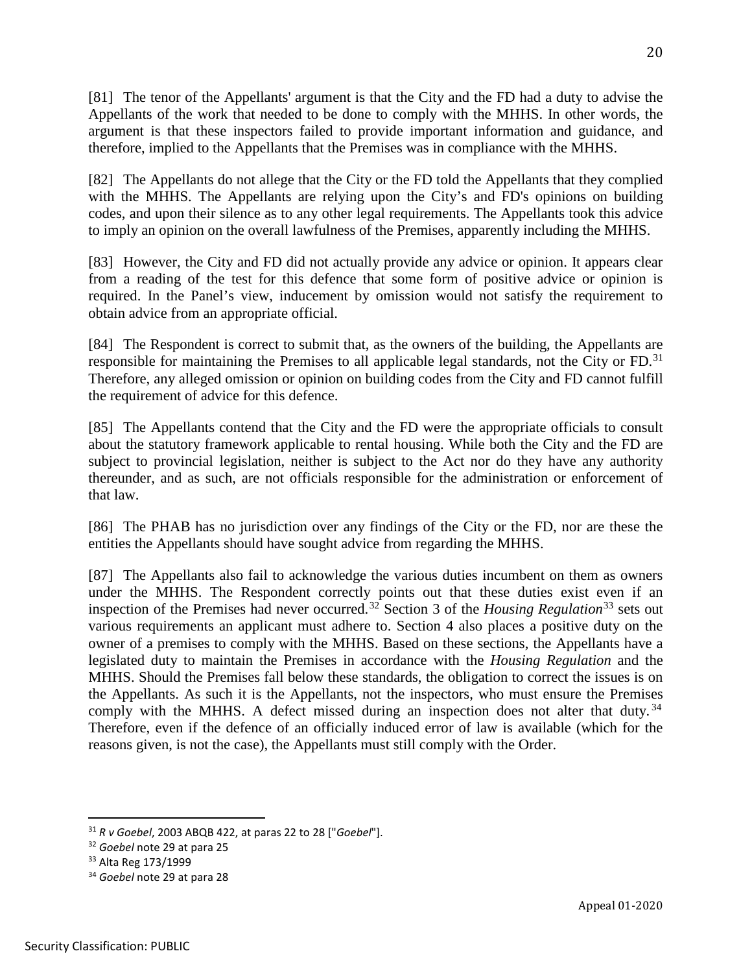[81] The tenor of the Appellants' argument is that the City and the FD had a duty to advise the Appellants of the work that needed to be done to comply with the MHHS. In other words, the argument is that these inspectors failed to provide important information and guidance, and therefore, implied to the Appellants that the Premises was in compliance with the MHHS.

[82] The Appellants do not allege that the City or the FD told the Appellants that they complied with the MHHS. The Appellants are relying upon the City's and FD's opinions on building codes, and upon their silence as to any other legal requirements. The Appellants took this advice to imply an opinion on the overall lawfulness of the Premises, apparently including the MHHS.

[83] However, the City and FD did not actually provide any advice or opinion. It appears clear from a reading of the test for this defence that some form of positive advice or opinion is required. In the Panel's view, inducement by omission would not satisfy the requirement to obtain advice from an appropriate official.

[84] The Respondent is correct to submit that, as the owners of the building, the Appellants are responsible for maintaining the Premises to all applicable legal standards, not the City or FD.<sup>[31](#page-19-0)</sup> Therefore, any alleged omission or opinion on building codes from the City and FD cannot fulfill the requirement of advice for this defence.

[85] The Appellants contend that the City and the FD were the appropriate officials to consult about the statutory framework applicable to rental housing. While both the City and the FD are subject to provincial legislation, neither is subject to the Act nor do they have any authority thereunder, and as such, are not officials responsible for the administration or enforcement of that law.

[86] The PHAB has no jurisdiction over any findings of the City or the FD, nor are these the entities the Appellants should have sought advice from regarding the MHHS.

[87] The Appellants also fail to acknowledge the various duties incumbent on them as owners under the MHHS. The Respondent correctly points out that these duties exist even if an inspection of the Premises had never occurred.<sup>[32](#page-19-1)</sup> Section 3 of the *Housing Regulation*<sup>[33](#page-19-2)</sup> sets out various requirements an applicant must adhere to. Section 4 also places a positive duty on the owner of a premises to comply with the MHHS. Based on these sections, the Appellants have a legislated duty to maintain the Premises in accordance with the *Housing Regulation* and the MHHS. Should the Premises fall below these standards, the obligation to correct the issues is on the Appellants. As such it is the Appellants, not the inspectors, who must ensure the Premises comply with the MHHS. A defect missed during an inspection does not alter that duty.  $34$ Therefore, even if the defence of an officially induced error of law is available (which for the reasons given, is not the case), the Appellants must still comply with the Order.

<span id="page-19-0"></span><sup>31</sup> *R v Goebel*, 2003 ABQB 422, at paras 22 to 28 ["*Goebel*"].

<span id="page-19-1"></span><sup>32</sup> *Goebel* note 29 at para 25

<span id="page-19-3"></span><span id="page-19-2"></span><sup>33</sup> Alta Reg 173/1999 34 *Goebel* note 29 at para 28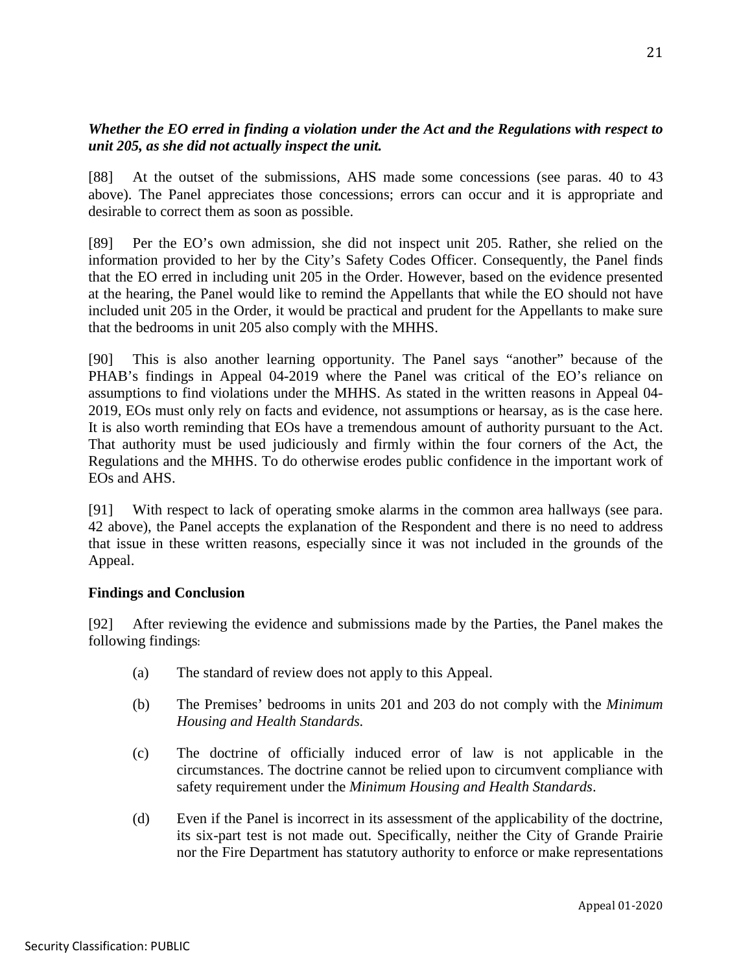# *Whether the EO erred in finding a violation under the Act and the Regulations with respect to unit 205, as she did not actually inspect the unit.*

[88] At the outset of the submissions, AHS made some concessions (see paras. 40 to 43 above). The Panel appreciates those concessions; errors can occur and it is appropriate and desirable to correct them as soon as possible.

[89] Per the EO's own admission, she did not inspect unit 205. Rather, she relied on the information provided to her by the City's Safety Codes Officer. Consequently, the Panel finds that the EO erred in including unit 205 in the Order. However, based on the evidence presented at the hearing, the Panel would like to remind the Appellants that while the EO should not have included unit 205 in the Order, it would be practical and prudent for the Appellants to make sure that the bedrooms in unit 205 also comply with the MHHS.

[90] This is also another learning opportunity. The Panel says "another" because of the PHAB's findings in Appeal 04-2019 where the Panel was critical of the EO's reliance on assumptions to find violations under the MHHS. As stated in the written reasons in Appeal 04- 2019, EOs must only rely on facts and evidence, not assumptions or hearsay, as is the case here. It is also worth reminding that EOs have a tremendous amount of authority pursuant to the Act. That authority must be used judiciously and firmly within the four corners of the Act, the Regulations and the MHHS. To do otherwise erodes public confidence in the important work of EOs and AHS.

[91] With respect to lack of operating smoke alarms in the common area hallways (see para. 42 above), the Panel accepts the explanation of the Respondent and there is no need to address that issue in these written reasons, especially since it was not included in the grounds of the Appeal.

## **Findings and Conclusion**

[92] After reviewing the evidence and submissions made by the Parties, the Panel makes the following findings:

- (a) The standard of review does not apply to this Appeal.
- (b) The Premises' bedrooms in units 201 and 203 do not comply with the *Minimum Housing and Health Standards.*
- (c) The doctrine of officially induced error of law is not applicable in the circumstances. The doctrine cannot be relied upon to circumvent compliance with safety requirement under the *Minimum Housing and Health Standards*.
- (d) Even if the Panel is incorrect in its assessment of the applicability of the doctrine, its six-part test is not made out. Specifically, neither the City of Grande Prairie nor the Fire Department has statutory authority to enforce or make representations